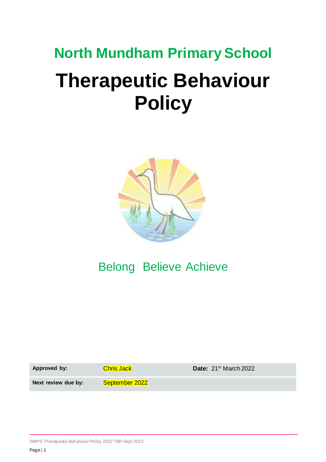# **North Mundham Primary School Therapeutic Behaviour Policy**



## Belong Believe Achieve

Approved by: Chris Jack **Chris Chris Contact Particle 21st March 2022** Next review due by: September 2022

NMPS Therapeutic Behaviour Policy 2022 TBR Sept 2023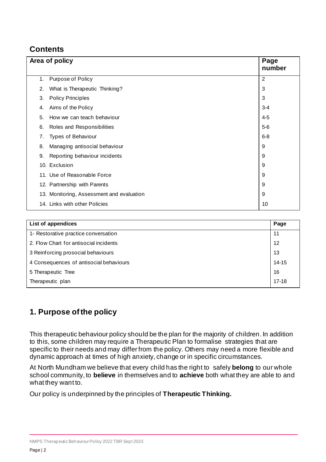## **Contents**

|    | Area of policy                            |                |
|----|-------------------------------------------|----------------|
| 1. | Purpose of Policy                         | $\overline{2}$ |
| 2. | What is Therapeutic Thinking?             | 3              |
| 3. | <b>Policy Principles</b>                  | 3              |
| 4. | Aims of the Policy                        | $3 - 4$        |
| 5. | How we can teach behaviour                | $4 - 5$        |
| 6. | Roles and Responsibilities                | $5-6$          |
| 7. | Types of Behaviour                        | $6 - 8$        |
| 8. | Managing antisocial behaviour             | 9              |
| 9. | Reporting behaviour incidents             | 9              |
|    | 10. Exclusion                             | 9              |
|    | 11. Use of Reasonable Force               | 9              |
|    | 12. Partnership with Parents              | 9              |
|    | 13. Monitoring, Assessment and evaluation | 9              |
|    | 14. Links with other Policies             | 10             |

| List of appendices                      | Page      |
|-----------------------------------------|-----------|
| 1- Restorative practice conversation    | -11       |
| 2. Flow Chart for antisocial incidents  | 12        |
| 3 Reinforcing prosocial behaviours      | 13        |
| 4 Consequences of antisocial behaviours | 14-15     |
| 5 Therapeutic Tree                      | 16        |
| Therapeutic plan                        | $17 - 18$ |

## **1. Purpose of the policy**

This therapeutic behaviour policy should be the plan for the majority of children. In addition to this, some children may require a Therapeutic Plan to formalise strategies that are specific to their needs and may differ from the policy. Others may need a more flexible and dynamic approach at times of high anxiety, change or in specific circumstances.

At North Mundham we believe that every child has the right to safely **belong** to our whole school community, to **believe** in themselves and to **achieve** both what they are able to and what they want to.

Our policy is underpinned by the principles of **Therapeutic Thinking.**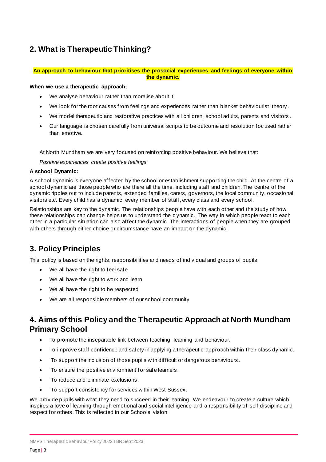## **2. What is Therapeutic Thinking?**

#### **An approach to behaviour that prioritises the prosocial experiences and feelings of everyone within the dynamic.**

#### **When we use a therapeutic approach;**

- We analyse behaviour rather than moralise about it.
- We look for the root causes from feelings and experiences rather than blanket behaviourist theory.
- We model therapeutic and restorative practices with all children, school adults, parents and visitors.
- Our language is chosen carefully from universal scripts to be outcome and resolution foc used rather than emotive.

At North Mundham we are very focused on reinforcing positive behaviour. We believe that:

*Positive experiences create positive feelings.*

#### **A school Dynamic:**

A school dynamic is everyone affected by the school or establishment supporting the child. At the centre of a school dynamic are those people who are there all the time, including staff and children. The centre of the dynamic ripples out to include parents, extended families, carers, governors, the local community, occasional visitors etc. Every child has a dynamic, every member of staff, every class and every school.

Relationships are key to the dynamic. The relationships people have with each other and the study of how these relationships can change helps us to understand the dynamic. The way in which people react to each other in a particular situation can also affect the dynamic. The interactions of people when they are grouped with others through either choice or circumstance have an impact on the dynamic.

## **3. Policy Principles**

This policy is based on the rights, responsibilities and needs of individual and groups of pupils;

- We all have the right to feel safe
- We all have the right to work and learn
- We all have the right to be respected
- We are all responsible members of our school community

## **4. Aims of this Policy and the Therapeutic Approach at North Mundham Primary School**

- To promote the inseparable link between teaching, learning and behaviour.
- To improve staff confidence and safety in applying a therapeutic approach within their class dynamic.
- To support the inclusion of those pupils with difficult or dangerous behaviours .
- To ensure the positive environment for safe learners.
- To reduce and eliminate exclusions.
- To support consistency for services within West Sussex.

We provide pupils with what they need to succeed in their learning. We endeavour to create a culture which inspires a love of learning through emotional and social intelligence and a responsibility of self-discipline and respect for others. This is reflected in our Schools' vision: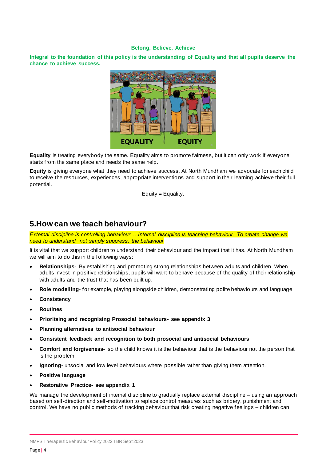#### **Belong, Believe, Achieve**

**Integral to the foundation of this policy is the understanding of Equality and that all pupils deserve the chance to achieve success.**



**Equality** is treating everybody the same. Equality aims to promote fairness, but it can only work if everyone starts from the same place and needs the same help.

**Equity** is giving everyone what they need to achieve success. At North Mundham we advocate for each child to receive the resources, experiences, appropriate interventions and support in their learning achieve their full potential.

Equity = Equality.

## **5.How can we teach behaviour?**

*External discipline is controlling behaviour …Internal discipline is teaching behaviour. To create change we need to understand, not simply suppress, the behaviour*

It is vital that we support children to understand their behaviour and the impact that it has. At North Mundham we will aim to do this in the following ways:

- **Relationships** By establishing and promoting strong relationships between adults and children. When adults invest in positive relationships, pupils will want to behave because of the quality of their relationship with adults and the trust that has been built up.
- **Role modelling** for example, playing alongside children, demonstrating polite behaviours and language
- **Consistency**
- **Routines**
- **Prioritsing and recognising Prosocial behaviours- see appendix 3**
- **Planning alternatives to antisocial behaviour**
- **Consistent feedback and recognition to both prosocial and antisocial behaviours**
- **Comfort and forgiveness-** so the child knows it is the behaviour that is the behaviour not the person that is the problem.
- **Ignoring-** unsocial and low level behaviours where possible rather than giving them attention.
- **Positive language**
- **Restorative Practice- see appendix 1**

We manage the development of internal discipline to gradually replace external discipline – using an approach based on self-direction and self-motivation to replace control measures such as bribery, punishment and control. We have no public methods of tracking behaviour that risk creating negative feelings – children can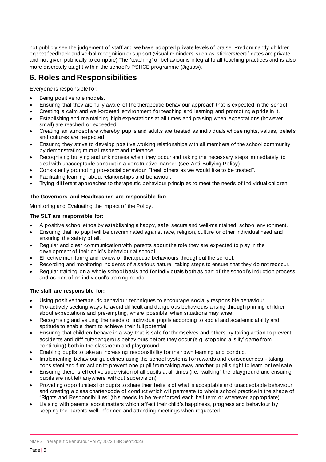not publicly see the judgement of staff and we have adopted private levels of praise. Predominantly children expect feedback and verbal recognition or support (visual reminders such as stickers/certificates are private and not given publically to compare).The 'teaching' of behaviour is integral to all teaching practices and is also more discretely taught within the school's PSHCE programme (Jigsaw).

## **6. Roles and Responsibilities**

Everyone is responsible for:

- Being positive role models.
- Ensuring that they are fully aware of the therapeutic behaviour approach that is expected in the school.
- Creating a calm and well-ordered environment for teaching and learning and promoting a pride in it.
- Establishing and maintaining high expectations at all times and praising when expectations (however small) are reached or exceeded.
- Creating an atmosphere whereby pupils and adults are treated as individuals whose rights, values, beliefs and cultures are respected.
- Ensuring they strive to develop positive working relationships with all members of the school community by demonstrating mutual respect and tolerance.
- Recognising bullying and unkindness when they occur and taking the necessary steps immediately to deal with unacceptable conduct in a constructive manner (see Anti-Bullying Policy).
- Consistently promoting pro-social behaviour: "treat others as we would like to be treated".
- Facilitating learning about relationships and behaviour.
- Trying different approaches to therapeutic behaviour principles to meet the needs of individual children.

## **The Governors and Headteacher are responsible for:**

Monitoring and Evaluating the impact of the Policy.

## **The SLT are responsible for:**

- A positive school ethos by establishing a happy, safe, secure and well-maintained school environment.
- Ensuring that no pupil will be discriminated against race, religion, culture or other individual need and ensuring the safety of all.
- Regular and clear communication with parents about the role they are expected to play in the development of their child's behaviour at school.
- Effective monitoring and review of therapeutic behaviours throughout the school.
- Recording and monitoring incidents of a serious nature, taking steps to ensure that they do not reoccur.
- Regular training on a whole school basis and for individuals both as part of the school's induction process and as part of an individual's training needs.

#### **The staff are responsible for:**

- Using positive therapeutic behaviour techniques to encourage socially responsible behaviour.
- Pro-actively seeking ways to avoid difficult and dangerous behaviours arising through priming children about expectations and pre-empting, where possible, when situations may arise.
- Recognising and valuing the needs of individual pupils according to social and academic ability and aptitude to enable them to achieve their full potential.
- Ensuring that children behave in a way that is safe for themselves and others by taking action to prevent accidents and difficult/dangerous behaviours before they occur (e.g. stopping a 'silly' game from continuing) both in the classroom and playground.
- Enabling pupils to take an increasing responsibility for their own learning and conduct.
- Implementing behaviour guidelines using the school systems for rewards and consequences taking consistent and firm action to prevent one pupil from taking away another pupil's right to learn or feel safe.
- Ensuring there is effective supervision of all pupils at all times (i.e. 'walking ' the playground and ensuring pupils are not left anywhere without supervision).
- Providing opportunities for pupils to share their beliefs of what is acceptable and unacceptable behaviour and creating a class charter/code of conduct which will permeate to whole school practice in the shape of "Rights and Responsibilities" (this needs to be re-enforced each half term or whenever appropriate).
- Liaising with parents about matters which affect their child's happiness, progress and behaviour by keeping the parents well informed and attending meetings when requested.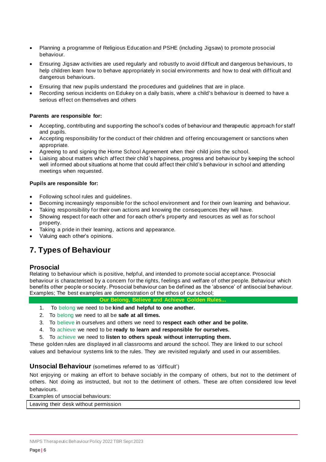- Planning a programme of Religious Education and PSHE (including Jigsaw) to promote prosocial behaviour.
- Ensuring Jigsaw activities are used regularly and robustly to avoid difficult and dangerous behaviours, to help children learn how to behave appropriately in social environments and how to deal with difficult and dangerous behaviours.
- Ensuring that new pupils understand the procedures and guidelines that are in place.
- Recording serious incidents on Edukey on a daily basis, where a child's behaviour is deemed to have a serious effect on themselves and others

#### **Parents are responsible for:**

- Accepting, contributing and supporting the school's codes of behaviour and therapeutic approach for staff and pupils.
- Accepting responsibility for the conduct of their children and offering encouragement or sanctions when appropriate.
- Agreeing to and signing the Home School Agreement when their child joins the school.
- Liaising about matters which affect their child's happiness, progress and behaviour by keeping the school well informed about situations at home that could affect their child's behaviour in school and attending meetings when requested.

#### **Pupils are responsible for:**

- Following school rules and guidelines.
- Becoming increasingly responsible for the school environment and for their own learning and behaviour.
- Taking responsibility for their own actions and knowing the consequences they will have.
- Showing respect for each other and for each other's property and resources as well as for school property.
- Taking a pride in their learning, actions and appearance.
- Valuing each other's opinions.

## **7. Types of Behaviour**

#### **Prosocial**

Relating to behaviour which is positive, helpful, and intended to promote social accept ance. Prosocial behaviour is characterised by a concern for the rights, feelings and welfare of other people. Behaviour which benefits other people or society. Prosocial behaviour can be defined as the 'absence' of antisocial behaviour. Examples; The best examples are demonstration of the ethos of our school;

**Our Belong, Believe and Achieve Golden Rules...**

- 1. To belong we need to be **kind and helpful to one another.**
- 2. To belong we need to all be **safe at all times.**
- 3. To believe in ourselves and others we need to **respect each other and be polite.**
- 4. To achieve we need to be **ready to learn and responsible for ourselves.**
- 5. To achieve we need to **listen to others speak without interrupting them.**

These golden rules are displayed in all classrooms and around the school. They are linked to our school values and behaviour systems link to the rules. They are revisited regularly and used in our assemblies.

#### **Unsocial Behaviour** (sometimes referred to as 'difficult')

Not enjoying or making an effort to behave sociably in the company of others, but not to the detriment of others. Not doing as instructed, but not to the detriment of others. These are often considered low level behaviours.

Examples of unsocial behaviours:

Leaving their desk without permission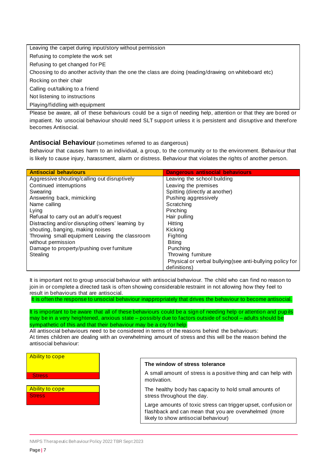Leaving the carpet during input/story without permission Refusing to complete the work set Refusing to get changed for PE Choosing to do another activity than the one the class are doing (reading/drawing on whiteboard etc) Rocking on their chair Calling out/talking to a friend Not listening to instructions Playing/fiddling with equipment

Please be aware, all of these behaviours could be a sign of needing help, attention or that they are bored or impatient. No unsocial behaviour should need SLT support unless it is persistent and disruptive and therefore becomes Antisocial.

## **Antisocial Behaviour** (sometimes referred to as dangerous)

Behaviour that causes harm to an individual, a group, to the community or to the environment. Behaviour that is likely to cause injury, harassment, alarm or distress. Behaviour that violates the rights of another person.

| <b>Antisocial behaviours</b>                      | <b>Dangerous antisocial behaviours</b>                    |
|---------------------------------------------------|-----------------------------------------------------------|
| Aggressive shouting/calling out disruptively      | Leaving the school building                               |
| Continued interruptions                           | Leaving the premises                                      |
| Swearing                                          | Spitting (directly at another)                            |
| Answering back, mimicking                         | Pushing aggressively                                      |
| Name calling                                      | Scratching                                                |
| Lying                                             | Pinching                                                  |
| Refusal to carry out an adult's request           | Hair pulling                                              |
| Distracting and/or disrupting others' learning by | Hittina                                                   |
| shouting, banging, making noises                  | Kicking                                                   |
| Throwing small equipment Leaving the classroom    | Fighting                                                  |
| without permission                                | <b>Biting</b>                                             |
| Damage to property/pushing over furniture         | Punching                                                  |
| Stealing                                          | Throwing furniture                                        |
|                                                   | Physical or verbal bullying (see anti-bullying policy for |
|                                                   | definitions)                                              |

It is important not to group unsocial behaviour with antisocial behaviour. The child who can find no reason to join in or complete a directed task is often showing considerable restraint in not allowing how they feel to result in behaviours that are antisocial.

It is often the response to unsocial behaviour inappropriately that drives the behaviour to become antisocial.

It is important to be aware that all of these behaviours could be a sign of needing help or attention and pup ils may be in a very heightened, anxious state – possibly due to factors outside of school – adults should be sympathetic of this and that their behaviour may be a cry for help

All antisocial behaviours need to be considered in terms of the reasons behind the behaviours: At times children are dealing with an overwhelming amount of stress and this will be the reason behind the antisocial behaviour:



#### **The window of stress tolerance**

A small amount of stress is a positive thing and can help with motivation.

The healthy body has capacity to hold small amounts of stress throughout the day.

Large amounts of toxic stress can trigger upset, confusion or flashback and can mean that you are overwhelmed (more likely to show antisocial behaviour)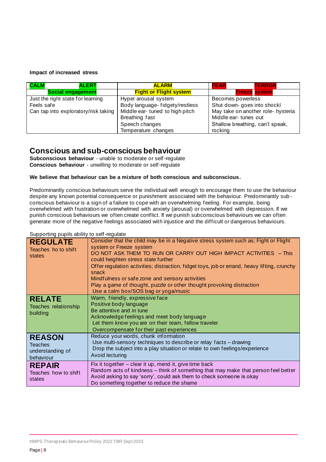#### **Impact of increased stress**

| <b>CALM</b><br><b>ALERT</b>          | <b>ALARM</b>                    | <b>FEAR</b><br><b>TERROR</b>       |  |
|--------------------------------------|---------------------------------|------------------------------------|--|
| <b>Social engagement</b>             | <b>Fight or Flight system</b>   | <b>Freeze system</b>               |  |
| Just the right state for learning    | Hyper arousal system            | Becomes powerless                  |  |
| Feels safe                           | Body language- fidgety/restless | Shut down- goes into shockl        |  |
| Can tap into exploratory/risk taking | Middle ear- tuned to high pitch | May take on another role- hysteria |  |
|                                      | Breathing fast                  | Middle ear-tunes out               |  |
|                                      | Speech changes                  | Shallow breathing, can't speak,    |  |
|                                      | Temperature changes             | rocking                            |  |

## **Conscious and sub-conscious behaviour**

**Subconscious behaviour** - unable to moderate or self-regulate **Conscious behaviour** - unwilling to moderate or self-regulate

#### **We believe that behaviour can be a mixture of both conscious and subconscious.**

Predominantly conscious behaviours serve the individual well enough to encourage them to use the behaviour despite any known potential consequence or punishment associated with the behaviour. Predominantly sub conscious behaviour is a sign of a failure to cope with an overwhelming feeling. For example, being overwhelmed with frustration or overwhelmed with anxiety (arousal) or overwhelmed with depression. If we punish conscious behaviours we often create conflict. If we punish subconscious behaviours we can often generate more of the negative feelings associated with injustice and the difficult or dangerous behaviours.

#### Supporting pupils ability to self-regulate

| <b>REGULATE</b><br>Teaches ho to shift<br>states                 | Consider that the child may be in a Negative stress system such as; Fight or Flight<br>system or Freeze system<br>DO NOT ASK THEM TO RUN OR CARRY OUT HIGH IMPACT ACTIVITIES - This<br>could heighten stress state further<br>Offer regulation activities; distraction, fidget toys, job or errand, heavy lifting, crunchy<br>snack<br>Mindfulness or safe zone and sensory activities<br>Play a game of thought, puzzle or other thought provoking distraction<br>Use a calm box/SOS bag or yoga/music |  |  |
|------------------------------------------------------------------|---------------------------------------------------------------------------------------------------------------------------------------------------------------------------------------------------------------------------------------------------------------------------------------------------------------------------------------------------------------------------------------------------------------------------------------------------------------------------------------------------------|--|--|
| <b>RELATE</b><br>Teaches relationship<br>building                | Warm, friendly, expressive face<br>Positive body language<br>Be attentive and in tune<br>Acknowledge feelings and meet body language<br>Let them know you are on their team, fellow traveler<br>Overcompensate for their past experiences                                                                                                                                                                                                                                                               |  |  |
| <b>REASON</b><br><b>Teaches</b><br>understanding of<br>behaviour | Reduce your words, chunk information<br>Use multi-sensory techniques to describe or relay facts - drawing<br>Drop the subject into a play situation or relate to own feelings/experience<br>Avoid lecturing                                                                                                                                                                                                                                                                                             |  |  |
| <b>REPAIR</b><br>Teaches how to shift<br>states                  | Fix it together - clear it up, mend it, give time back<br>Random acts of kindness - think of something that may make that person feel better<br>Avoid asking to say 'sorry', could ask them to check someone is okay<br>Do something together to reduce the shame                                                                                                                                                                                                                                       |  |  |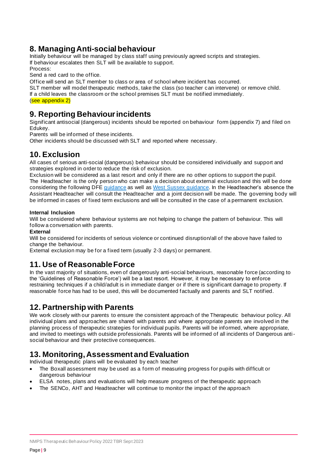## **8. Managing Anti-social behaviour**

Initially behaviour will be managed by class staff using previously agreed scripts and strategies. If behaviour escalates then SLT will be available to support.

Process:

Send a red card to the office.

Office will send an SLT member to class or area of school where incident has occurred.

SLT member will model therapeutic methods, take the class (so teacher can intervene) or remove child.

If a child leaves the classroom or the school premises SLT must be notified immediately.

(see appendix 2)

## **9. Reporting Behaviour incidents**

Significant antisocial (dangerous) incidents should be reported on behaviour form (appendix 7) and filed on Edukey.

Parents will be informed of these incidents.

Other incidents should be discussed with SLT and reported where necessary.

## **10. Exclusion**

All cases of serious anti-social (dangerous) behaviour should be considered individually and support and strategies explored in order to reduce the risk of exclusion.

Exclusion will be considered as a last resort and only if there are no other options to support the pupil. The Headteacher is the only person who can make a decision about external exclusion and this will be done considering the following DFE guidance as well as West Sussex guidance. In the Headteacher's absence the Assistant Headteacher will consult the Headteacher and a joint decision will be made. The governing body will be informed in cases of fixed term exclusions and will be consulted in the case of a permanent exclusion.

## **Internal Inclusion**

Will be considered where behaviour systems are not helping to change the pattern of behaviour. This will follow a conversation with parents.

## **External**

Will be considered for incidents of serious violence or continued disruption/all of the above have failed to change the behaviour.

External exclusion may be for a fixed term (usually 2-3 days) or permanent.

## **11. Use of Reasonable Force**

In the vast majority of situations, even of dangerously anti-social behaviours, reasonable force (according to the 'Guidelines of Reasonable Force') will be a last resort. However, it may be necessary to enforce restraining techniques if a child/adult is in immediate danger or if there is significant damage to property. If reasonable force has had to be used, this will be documented factually and parents and SLT notified.

## **12. Partnership with Parents**

We work closely with our parents to ensure the consistent approach of the Therapeutic behaviour policy. All individual plans and approaches are shared with parents and where appropriate parents are involved in the planning process of therapeutic strategies for individual pupils. Parents will be informed, where appropriate, and invited to meetings with outside professionals. Parents will be informed of all incidents of Dangerous antisocial behaviour and their protective consequences.

## **13. Monitoring, Assessment and Evaluation**

Individual therapeutic plans will be evaluated by each teacher

- The Boxall assessment may be used as a form of measuring progress for pupils with difficult or dangerous behaviour
- ELSA notes, plans and evaluations will help measure progress of the therapeutic approach
- The SENCo, AHT and Headteacher will continue to monitor the impact of the approach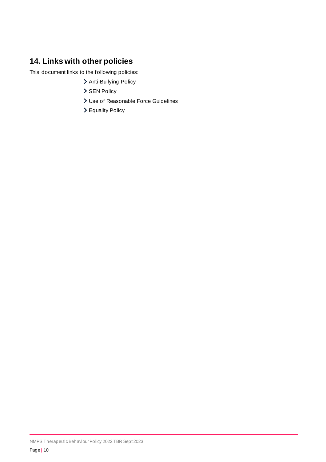## **14. Links with other policies**

This document links to the following policies:

- > Anti-Bullying Policy
- > SEN Policy
- Use of Reasonable Force Guidelines
- Equality Policy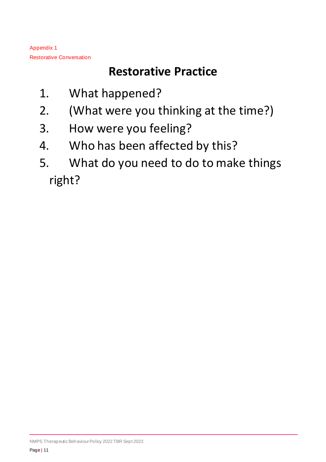Appendix 1 Restorative Conversation

## **Restorative Practice**

- 1. What happened?
- 2. (What were you thinking at the time?)
- 3. How were you feeling?
- 4. Who has been affected by this?
- 5. What do you need to do to make things right?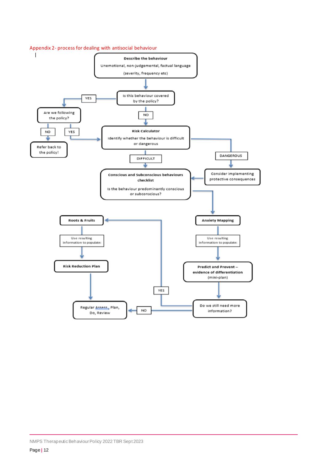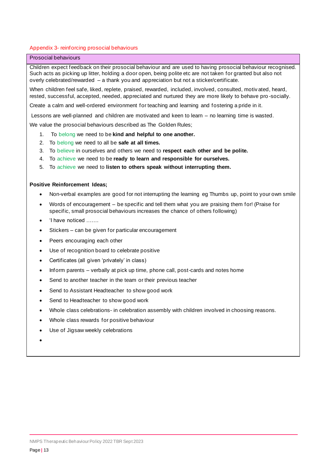#### Appendix 3- reinforcing prosocial behaviours

#### Prosocial behaviours

Children expect feedback on their prosocial behaviour and are used to having prosocial behaviour recognised. Such acts as picking up litter, holding a door open, being polite etc are not taken for granted but also not overly celebrated/rewarded – a thank you and appreciation but not a sticker/certificate.

When children feel safe, liked, replete, praised, rewarded, included, involved, consulted, motiv ated, heard, rested, successful, accepted, needed, appreciated and nurtured they are more likely to behave pro -socially.

Create a calm and well-ordered environment for teaching and learning and fostering a pride in it.

Lessons are well-planned and children are motivated and keen to learn – no learning time is wasted.

We value the prosocial behaviours described as The Golden Rules;

- 1. To belong we need to be **kind and helpful to one another.**
- 2. To belong we need to all be **safe at all times.**
- 3. To believe in ourselves and others we need to **respect each other and be polite.**
- 4. To achieve we need to be **ready to learn and responsible for ourselves.**
- 5. To achieve we need to **listen to others speak without interrupting them.**

#### **Positive Reinforcement Ideas;**

- Non-verbal examples are good for not interrupting the learning eg Thumbs up, point to your own smile
- Words of encouragement be specific and tell them what you are praising them for! (Praise for specific, small prosocial behaviours increases the chance of others following)
- 'I have noticed …….
- Stickers can be given for particular encouragement
- Peers encouraging each other
- Use of recognition board to celebrate positive
- Certificates (all given 'privately' in class)
- Inform parents verbally at pick up time, phone call, post-cards and notes home
- Send to another teacher in the team or their previous teacher
- Send to Assistant Headteacher to show good work
- Send to Headteacher to show good work
- Whole class celebrations- in celebration assembly with children involved in choosing reasons.
- Whole class rewards for positive behaviour
- Use of Jigsaw weekly celebrations
- •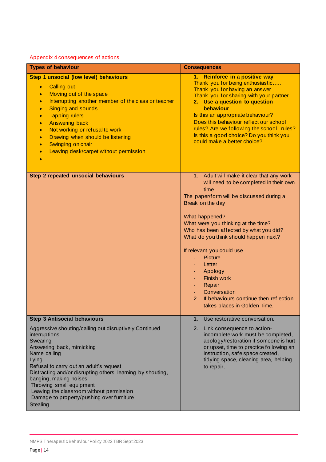## Appendix 4 consequences of actions

| <b>Types of behaviour</b>                                                                                                                                                                                                                                                                                                                                                                                                                                                               | <b>Consequences</b>                                                                                                                                                                                                                                                                                                                                                                                                                                                                                          |
|-----------------------------------------------------------------------------------------------------------------------------------------------------------------------------------------------------------------------------------------------------------------------------------------------------------------------------------------------------------------------------------------------------------------------------------------------------------------------------------------|--------------------------------------------------------------------------------------------------------------------------------------------------------------------------------------------------------------------------------------------------------------------------------------------------------------------------------------------------------------------------------------------------------------------------------------------------------------------------------------------------------------|
| Step 1 unsocial (low level) behaviours<br><b>Calling out</b><br>$\bullet$<br>Moving out of the space<br>$\bullet$<br>Interrupting another member of the class or teacher<br>$\bullet$<br><b>Singing and sounds</b><br>$\bullet$<br><b>Tapping rulers</b><br>$\bullet$<br><b>Answering back</b><br>$\bullet$<br>Not working or refusal to work<br>$\bullet$<br>Drawing when should be listening<br>$\bullet$<br>Swinging on chair<br>$\bullet$<br>Leaving desk/carpet without permission | 1. Reinforce in a positive way<br>Thank you for being enthusiastic<br>Thank you for having an answer<br>Thank you for sharing with your partner<br>2. Use a question to question<br>behaviour<br>Is this an appropriate behaviour?<br>Does this behaviour reflect our school<br>rules? Are we following the school rules?<br>Is this a good choice? Do you think you<br>could make a better choice?                                                                                                          |
| Step 2 repeated unsocial behaviours                                                                                                                                                                                                                                                                                                                                                                                                                                                     | 1. Adult will make it clear that any work<br>will need to be completed in their own<br>time<br>The paper/form will be discussed during a<br>Break on the day<br>What happened?<br>What were you thinking at the time?<br>Who has been affected by what you did?<br>What do you think should happen next?<br>If relevant you could use<br><b>Picture</b><br>Letter<br>Apology<br><b>Finish work</b><br>Repair<br>Conversation<br>If behaviours continue then reflection<br>2.<br>takes places in Golden Time. |
| <b>Step 3 Antisocial behaviours</b><br>Aggressive shouting/calling out disruptively Continued<br>interruptions<br>Swearing<br>Answering back, mimicking<br>Name calling<br>Lying<br>Refusal to carry out an adult's request<br>Distracting and/or disrupting others' learning by shouting,<br>banging, making noises<br>Throwing small equipment<br>Leaving the classroom without permission<br>Damage to property/pushing over furniture<br>Stealing                                   | 1.<br>Use restorative conversation.<br>2.<br>Link consequence to action-<br>incomplete work must be completed,<br>apology/restoration if someone is hurt<br>or upset, time to practice following an<br>instruction, safe space created,<br>tidying space, cleaning area, helping<br>to repair,                                                                                                                                                                                                               |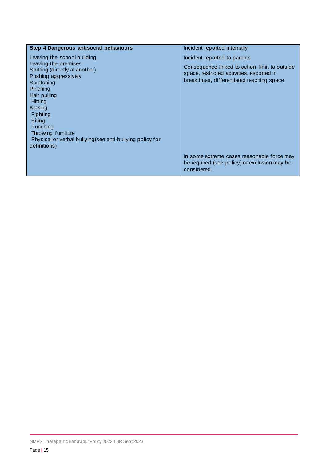| Step 4 Dangerous antisocial behaviours                                                                                                                                                                                                                                                                                                  | Incident reported internally                                                                                                                                            |
|-----------------------------------------------------------------------------------------------------------------------------------------------------------------------------------------------------------------------------------------------------------------------------------------------------------------------------------------|-------------------------------------------------------------------------------------------------------------------------------------------------------------------------|
| Leaving the school building<br>Leaving the premises<br>Spitting (directly at another)<br>Pushing aggressively<br>Scratching<br>Pinching<br>Hair pulling<br><b>Hitting</b><br>Kicking<br><b>Fighting</b><br><b>Biting</b><br>Punching<br>Throwing furniture<br>Physical or verbal bullying (see anti-bullying policy for<br>definitions) | Incident reported to parents<br>Consequence linked to action-limit to outside<br>space, restricted activities, escorted in<br>breaktimes, differentiated teaching space |
|                                                                                                                                                                                                                                                                                                                                         | In some extreme cases reasonable force may<br>be required (see policy) or exclusion may be<br>considered.                                                               |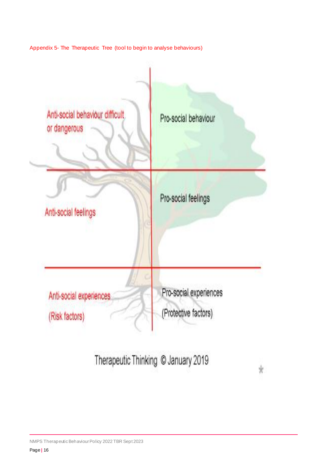Appendix 5- The Therapeutic Tree (tool to begin to analyse behaviours)



Therapeutic Thinking @ January 2019

 $\star$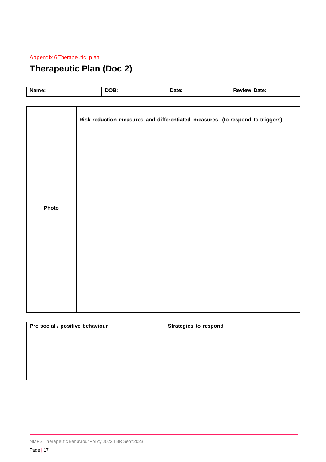## Appendix 6 Therapeutic plan

## **Therapeutic Plan (Doc 2)**

| Name: |  |                                                                                      |       |                     |
|-------|--|--------------------------------------------------------------------------------------|-------|---------------------|
|       |  |                                                                                      |       |                     |
|       |  | DOB:<br>Risk reduction measures and differentiated measures (to respond to triggers) | Date: | <b>Review Date:</b> |
| Photo |  |                                                                                      |       |                     |

| Pro social / positive behaviour | <b>Strategies to respond</b> |
|---------------------------------|------------------------------|
|                                 |                              |
|                                 |                              |
|                                 |                              |
|                                 |                              |
|                                 |                              |
|                                 |                              |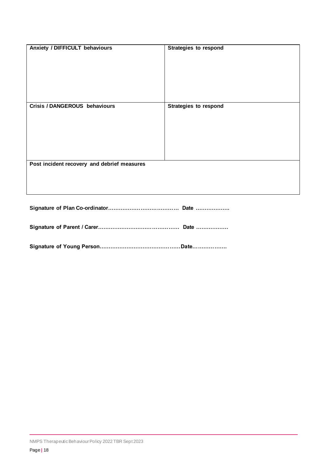| Anxiety / DIFFICULT behaviours              | <b>Strategies to respond</b> |
|---------------------------------------------|------------------------------|
| Crisis / DANGEROUS behaviours               | <b>Strategies to respond</b> |
| Post incident recovery and debrief measures |                              |

**Signature of Plan Co-ordinator………………………………… Date ……………….**

**Signature of Parent / Carer……………………………………… Date ………………**

**Signature of Young Person………………………………………Date……………….**